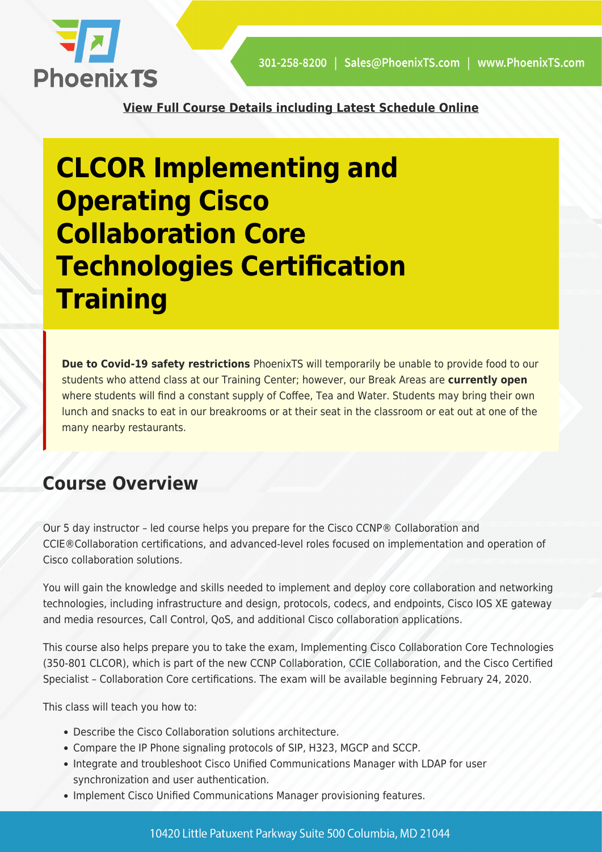

**[View Full Course Details including Latest Schedule Online](https://phoenixts.com/courses/cisco-clcor-implementing-and-operating-cisco-collaboration-core-technologies-certification-training/)**

# **CLCOR Implementing and Operating Cisco Collaboration Core Technologies Certification Training**

**Due to Covid-19 safety restrictions** PhoenixTS will temporarily be unable to provide food to our students who attend class at our Training Center; however, our Break Areas are **currently open** where students will find a constant supply of Coffee, Tea and Water. Students may bring their own lunch and snacks to eat in our breakrooms or at their seat in the classroom or eat out at one of the many nearby restaurants.

#### **Course Overview**

Our 5 day instructor – led course helps you prepare for the Cisco CCNP® Collaboration and CCIE®Collaboration certifications, and advanced-level roles focused on implementation and operation of Cisco collaboration solutions.

You will gain the knowledge and skills needed to implement and deploy core collaboration and networking technologies, including infrastructure and design, protocols, codecs, and endpoints, Cisco IOS XE gateway and media resources, Call Control, QoS, and additional Cisco collaboration applications.

This course also helps prepare you to take the exam, Implementing Cisco Collaboration Core Technologies (350-801 CLCOR), which is part of the new CCNP Collaboration, CCIE Collaboration, and the Cisco Certified Specialist – Collaboration Core certifications. The exam will be available beginning February 24, 2020.

This class will teach you how to:

- Describe the Cisco Collaboration solutions architecture.
- Compare the IP Phone signaling protocols of SIP, H323, MGCP and SCCP.
- Integrate and troubleshoot Cisco Unified Communications Manager with LDAP for user synchronization and user authentication.
- Implement Cisco Unified Communications Manager provisioning features.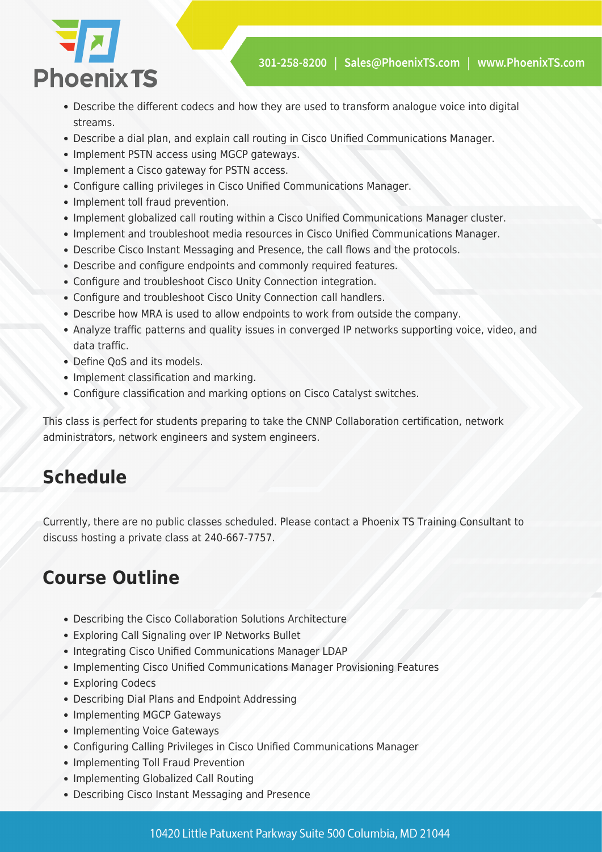



- Describe the different codecs and how they are used to transform analogue voice into digital streams.
- Describe a dial plan, and explain call routing in Cisco Unified Communications Manager.
- Implement PSTN access using MGCP gateways.
- Implement a Cisco gateway for PSTN access.
- Configure calling privileges in Cisco Unified Communications Manager.
- Implement toll fraud prevention.
- Implement globalized call routing within a Cisco Unified Communications Manager cluster.
- Implement and troubleshoot media resources in Cisco Unified Communications Manager.
- Describe Cisco Instant Messaging and Presence, the call flows and the protocols.
- Describe and configure endpoints and commonly required features.
- Configure and troubleshoot Cisco Unity Connection integration.
- Configure and troubleshoot Cisco Unity Connection call handlers.
- Describe how MRA is used to allow endpoints to work from outside the company.
- Analyze traffic patterns and quality issues in converged IP networks supporting voice, video, and data traffic.
- Define OoS and its models.
- Implement classification and marking.
- Configure classification and marking options on Cisco Catalyst switches.

This class is perfect for students preparing to take the CNNP Collaboration certification, network administrators, network engineers and system engineers.

## **Schedule**

Currently, there are no public classes scheduled. Please contact a Phoenix TS Training Consultant to discuss hosting a private class at 240-667-7757.

### **Course Outline**

- Describing the Cisco Collaboration Solutions Architecture
- Exploring Call Signaling over IP Networks Bullet
- Integrating Cisco Unified Communications Manager LDAP
- Implementing Cisco Unified Communications Manager Provisioning Features
- Exploring Codecs
- Describing Dial Plans and Endpoint Addressing
- Implementing MGCP Gateways
- Implementing Voice Gateways
- Configuring Calling Privileges in Cisco Unified Communications Manager
- Implementing Toll Fraud Prevention
- Implementing Globalized Call Routing
- Describing Cisco Instant Messaging and Presence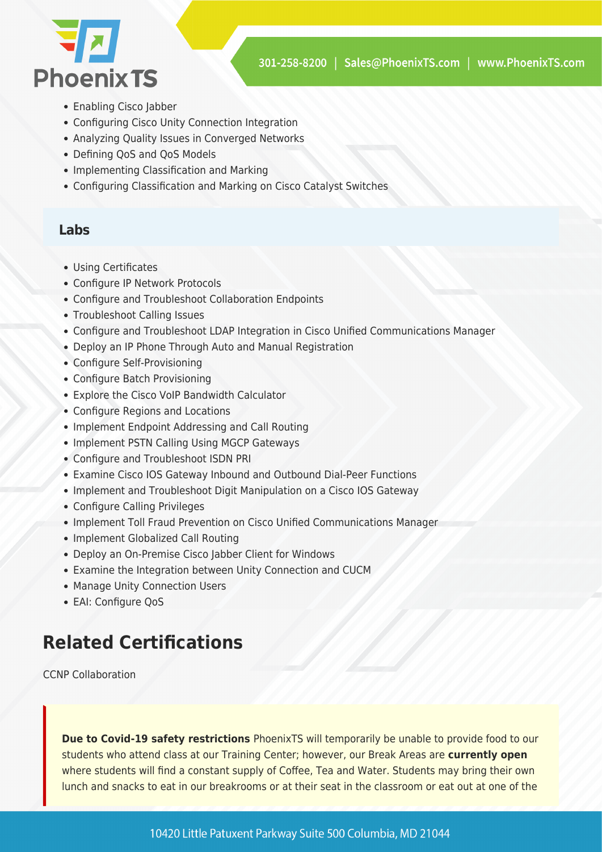

- Enabling Cisco labber
- Configuring Cisco Unity Connection Integration
- Analyzing Quality Issues in Converged Networks
- Defining QoS and QoS Models
- Implementing Classification and Marking
- Configuring Classification and Marking on Cisco Catalyst Switches

#### **Labs**

- Using Certificates
- Configure IP Network Protocols
- Configure and Troubleshoot Collaboration Endpoints
- Troubleshoot Calling Issues
- Configure and Troubleshoot LDAP Integration in Cisco Unified Communications Manager
- Deploy an IP Phone Through Auto and Manual Registration
- Configure Self-Provisioning
- Configure Batch Provisioning
- Explore the Cisco VoIP Bandwidth Calculator
- Configure Regions and Locations
- Implement Endpoint Addressing and Call Routing
- Implement PSTN Calling Using MGCP Gateways
- Configure and Troubleshoot ISDN PRI
- Examine Cisco IOS Gateway Inbound and Outbound Dial-Peer Functions
- Implement and Troubleshoot Digit Manipulation on a Cisco IOS Gateway
- Configure Calling Privileges
- Implement Toll Fraud Prevention on Cisco Unified Communications Manager
- Implement Globalized Call Routing
- Deploy an On-Premise Cisco Jabber Client for Windows
- Examine the Integration between Unity Connection and CUCM
- Manage Unity Connection Users
- EAI: Configure QoS

#### **Related Certifications**

CCNP Collaboration

**Due to Covid-19 safety restrictions** PhoenixTS will temporarily be unable to provide food to our students who attend class at our Training Center; however, our Break Areas are **currently open** where students will find a constant supply of Coffee, Tea and Water. Students may bring their own lunch and snacks to eat in our breakrooms or at their seat in the classroom or eat out at one of the